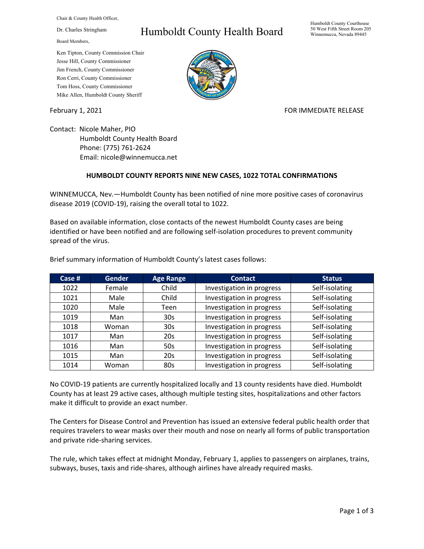Chair & County Health Officer,

Dr. Charles Stringham

Board Members,

## Ken Tipton, County Commission Chair Jesse Hill, County Commissioner Jim French, County Commissioner Ron Cerri, County Commissioner Tom Hoss, County Commissioner Mike Allen, Humboldt County Sheriff

## Humboldt County Health Board



## February 1, 2021 **For all and STARTE RELEASE** FOR IMMEDIATE RELEASE

Contact: Nicole Maher, PIO Humboldt County Health Board Phone: (775) 761-2624 Email: nicole@winnemucca.net

## **HUMBOLDT COUNTY REPORTS NINE NEW CASES, 1022 TOTAL CONFIRMATIONS**

WINNEMUCCA, Nev.—Humboldt County has been notified of nine more positive cases of coronavirus disease 2019 (COVID-19), raising the overall total to 1022.

Based on available information, close contacts of the newest Humboldt County cases are being identified or have been notified and are following self-isolation procedures to prevent community spread of the virus.

| Case $#$ | <b>Gender</b> | <b>Age Range</b> | <b>Contact</b>            | <b>Status</b>  |
|----------|---------------|------------------|---------------------------|----------------|
| 1022     | Female        | Child            | Investigation in progress | Self-isolating |
| 1021     | Male          | Child            | Investigation in progress | Self-isolating |
| 1020     | Male          | Teen             | Investigation in progress | Self-isolating |
| 1019     | Man           | 30 <sub>s</sub>  | Investigation in progress | Self-isolating |
| 1018     | Woman         | 30 <sub>s</sub>  | Investigation in progress | Self-isolating |
| 1017     | Man           | 20s              | Investigation in progress | Self-isolating |
| 1016     | Man           | 50s              | Investigation in progress | Self-isolating |
| 1015     | Man           | 20s              | Investigation in progress | Self-isolating |
| 1014     | Woman         | 80s              | Investigation in progress | Self-isolating |

Brief summary information of Humboldt County's latest cases follows:

No COVID-19 patients are currently hospitalized locally and 13 county residents have died. Humboldt County has at least 29 active cases, although multiple testing sites, hospitalizations and other factors make it difficult to provide an exact number.

The Centers for Disease Control and Prevention has issued an extensive federal public health order that requires travelers to wear masks over their mouth and nose on nearly all forms of public transportation and private ride-sharing services.

The rule, which takes effect at midnight Monday, February 1, applies to passengers on airplanes, trains, subways, buses, taxis and ride-shares, although airlines have already required masks.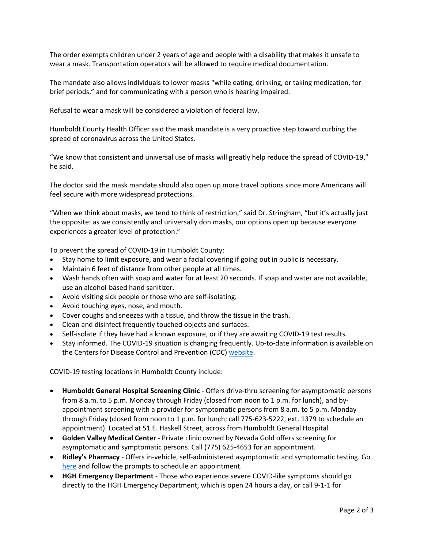The order exempts children under 2 years of age and people with a disability that makes it unsafe to wear a mask. Transportation operators will be allowed to require medical documentation.

The mandate also allows individuals to lower masks "while eating, drinking, or taking medication, for brief periods," and for communicating with a person who is hearing impaired.

Refusal to wear a mask will be considered a violation of federal law.

Humboldt County Health Officer said the mask mandate is a very proactive step toward curbing the spread of coronavirus across the United States.

"We know that consistent and universal use of masks will greatly help reduce the spread of COVID-19," he said.

The doctor said the mask mandate should also open up more travel options since more Americans will feel secure with more widespread protections.

"When we think about masks, we tend to think of restriction," said Dr. Stringham, "but it's actually just the opposite: as we consistently and universally don masks, our options open up because everyone experiences a greater level of protection."

To prevent the spread of COVID-19 in Humboldt County:

- Stay home to limit exposure, and wear a facial covering if going out in public is necessary.
- Maintain 6 feet of distance from other people at all times.
- Wash hands often with soap and water for at least 20 seconds. If soap and water are not available, use an alcohol-based hand sanitizer.
- Avoid visiting sick people or those who are self-isolating.
- Avoid touching eyes, nose, and mouth.
- Cover coughs and sneezes with a tissue, and throw the tissue in the trash.
- Clean and disinfect frequently touched objects and surfaces.
- Self-isolate if they have had a known exposure, or if they are awaiting COVID-19 test results.
- Stay informed. The COVID-19 situation is changing frequently. Up-to-date information is available on the Centers for Disease Control and Prevention (CDC) [website.](http://www.cdc.gov/coronavirus/2019-ncov/index.html)

COVID-19 testing locations in Humboldt County include:

- **Humboldt General Hospital Screening Clinic** Offers drive-thru screening for asymptomatic persons from 8 a.m. to 5 p.m. Monday through Friday (closed from noon to 1 p.m. for lunch), and byappointment screening with a provider for symptomatic persons from 8 a.m. to 5 p.m. Monday through Friday (closed from noon to 1 p.m. for lunch; call 775-623-5222, ext. 1379 to schedule an appointment). Located at 51 E. Haskell Street, across from Humboldt General Hospital.
- **Golden Valley Medical Center** Private clinic owned by Nevada Gold offers screening for asymptomatic and symptomatic persons. Call (775) 625-4653 for an appointment.
- **Ridley's Pharmacy** Offers in-vehicle, self-administered asymptomatic and symptomatic testing. Go [here](https://www.doineedacovid19test.com/Winnemucca_NV_1098.html) and follow the prompts to schedule an appointment.
- **HGH Emergency Department**  Those who experience severe COVID-like symptoms should go directly to the HGH Emergency Department, which is open 24 hours a day, or call 9-1-1 for